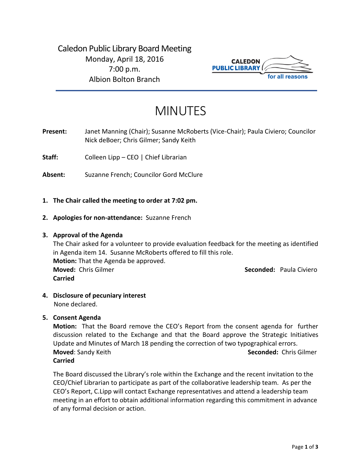Caledon Public Library Board Meeting Monday, April 18, 2016 7:00 p.m. Albion Bolton Branch



# MINUTES

**Present:** Janet Manning (Chair); Susanne McRoberts (Vice-Chair); Paula Civiero; Councilor Nick deBoer; Chris Gilmer; Sandy Keith

**Staff:** Colleen Lipp – CEO | Chief Librarian

**Absent:** Suzanne French; Councilor Gord McClure

# **1. The Chair called the meeting to order at 7:02 pm.**

**2. Apologies for non-attendance:** Suzanne French

## **3. Approval of the Agenda**

The Chair asked for a volunteer to provide evaluation feedback for the meeting as identified in Agenda item 14. Susanne McRoberts offered to fill this role. **Motion:** That the Agenda be approved. **Moved:** Chris Gilmer **Seconded:** Paula Civiero **Carried**

**4. Disclosure of pecuniary interest** None declared.

**5. Consent Agenda**

**Motion:** That the Board remove the CEO's Report from the consent agenda for further discussion related to the Exchange and that the Board approve the Strategic Initiatives Update and Minutes of March 18 pending the correction of two typographical errors. **Moved**: Sandy Keith **Seconded:** Chris Gilmer **Carried**

The Board discussed the Library's role within the Exchange and the recent invitation to the CEO/Chief Librarian to participate as part of the collaborative leadership team. As per the CEO's Report, C.Lipp will contact Exchange representatives and attend a leadership team meeting in an effort to obtain additional information regarding this commitment in advance of any formal decision or action.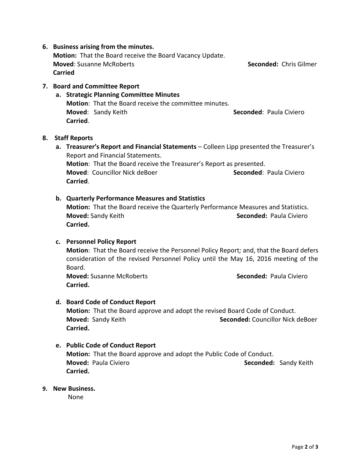# **6. Business arising from the minutes.**

**Motion:** That the Board receive the Board Vacancy Update. **Moved**: Susanne McRoberts **Seconded:** Chris Gilmer **Carried**

# **7. Board and Committee Report**

# **a. Strategic Planning Committee Minutes Motion**: That the Board receive the committee minutes. **Moved:** Sandy Keith **Superinten Condedition Seconded:** Paula Civiero **Carried**.

#### **8. Staff Reports**

**a. Treasurer's Report and Financial Statements** – Colleen Lipp presented the Treasurer's Report and Financial Statements. **Motion**: That the Board receive the Treasurer's Report as presented. **Moved: Councillor Nick deBoer <b>Seconded**: Paula Civiero **Carried**.

#### **b. Quarterly Performance Measures and Statistics**

**Motion:** That the Board receive the Quarterly Performance Measures and Statistics. **Moved:** Sandy Keith **Seconded: Paula Civiero Seconded: Paula Civiero Carried.**

#### **c. Personnel Policy Report**

**Motion**: That the Board receive the Personnel Policy Report*;* and, that the Board defers consideration of the revised Personnel Policy until the May 16, 2016 meeting of the Board.

**Moved:** Susanne McRoberts **Seconded:** Paula Civiero **Carried.**

#### **d. Board Code of Conduct Report**

**Motion:** That the Board approve and adopt the revised Board Code of Conduct. **Moved:** Sandy Keith **Seconded: Councillor Nick deBoer** Seconded: **Seconded: Councillor Nick deBoer Carried.** 

# **e. Public Code of Conduct Report**

**Motion:** That the Board approve and adopt the Public Code of Conduct. **Moved: Paula Civiero Seconded: Sandy Keith** Seconded: Sandy Keith **Carried.** 

#### **9. New Business.**

None